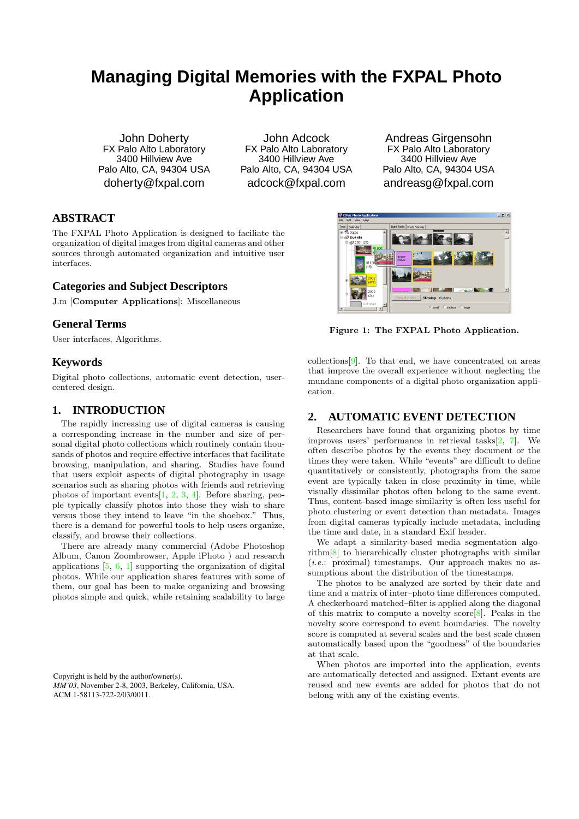# **Managing Digital Memories with the FXPAL Photo Application**

John Doherty FX Palo Alto Laboratory 3400 Hillview Ave Palo Alto, CA, 94304 USA doherty@fxpal.com

John Adcock FX Palo Alto Laboratory 3400 Hillview Ave Palo Alto, CA, 94304 USA adcock@fxpal.com

Andreas Girgensohn FX Palo Alto Laboratory 3400 Hillview Ave Palo Alto, CA, 94304 USA andreasg@fxpal.com

 $|m(x)|$ 

## **ABSTRACT**

The FXPAL Photo Application is designed to faciliate the organization of digital images from digital cameras and other sources through automated organization and intuitive user interfaces.

## **Categories and Subject Descriptors**

J.m [Computer Applications]: Miscellaneous

## **General Terms**

User interfaces, Algorithms.

#### **Keywords**

Digital photo collections, automatic event detection, usercentered design.

## **1. INTRODUCTION**

The rapidly increasing use of digital cameras is causing a corresponding increase in the number and size of personal digital photo collections which routinely contain thousands of photos and require effective interfaces that facilitate browsing, manipulation, and sharing. Studies have found that users exploit aspects of digital photography in usage scenarios such as sharing photos with friends and retrieving photos of important events  $[1, 2, 3, 4]$  $[1, 2, 3, 4]$  $[1, 2, 3, 4]$  $[1, 2, 3, 4]$  $[1, 2, 3, 4]$  $[1, 2, 3, 4]$  $[1, 2, 3, 4]$ . Before sharing, people typically classify photos into those they wish to share versus those they intend to leave "in the shoebox." Thus, there is a demand for powerful tools to help users organize, classify, and browse their collections.

There are already many commercial (Adobe Photoshop Album, Canon Zoombrowser, Apple iPhoto ) and research applications  $[5, 6, 1]$  $[5, 6, 1]$  $[5, 6, 1]$  $[5, 6, 1]$  $[5, 6, 1]$  supporting the organization of digital photos. While our application shares features with some of them, our goal has been to make organizing and browsing photos simple and quick, while retaining scalability to large

Copyright is held by the author/owner(s). *MM'03*, November 2-8, 2003, Berkeley, California, USA. ACM 1-58113-722-2/03/0011.



Figure 1: The FXPAL Photo Application.

<span id="page-0-0"></span>collections[\[9\]](#page-1-6). To that end, we have concentrated on areas that improve the overall experience without neglecting the mundane components of a digital photo organization application.

## **2. AUTOMATIC EVENT DETECTION**

Researchers have found that organizing photos by time improves users' performance in retrieval tasks[\[2,](#page-1-1) [7\]](#page-1-7). We often describe photos by the events they document or the times they were taken. While "events" are difficult to define quantitatively or consistently, photographs from the same event are typically taken in close proximity in time, while visually dissimilar photos often belong to the same event. Thus, content-based image similarity is often less useful for photo clustering or event detection than metadata. Images from digital cameras typically include metadata, including the time and date, in a standard Exif header.

We adapt a similarity-based media segmentation algorithm[\[8\]](#page-1-8) to hierarchically cluster photographs with similar  $(i.e.:$  proximal) timestamps. Our approach makes no assumptions about the distribution of the timestamps.

The photos to be analyzed are sorted by their date and time and a matrix of inter–photo time differences computed. A checkerboard matched–filter is applied along the diagonal of this matrix to compute a novelty score  $[8]$ . Peaks in the novelty score correspond to event boundaries. The novelty score is computed at several scales and the best scale chosen automatically based upon the "goodness" of the boundaries at that scale.

When photos are imported into the application, events are automatically detected and assigned. Extant events are reused and new events are added for photos that do not belong with any of the existing events.